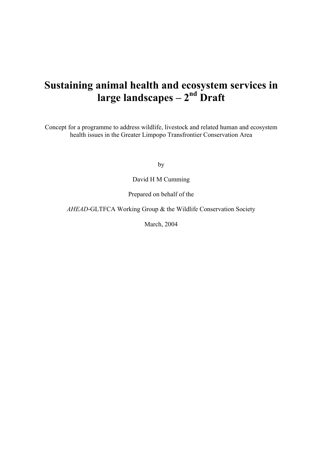# Sustaining animal health and ecosystem services in large landscapes – 2<sup>nd</sup> Draft

Concept for a programme to address wildlife, livestock and related human and ecosystem health issues in the Greater Limpopo Transfrontier Conservation Area

by

David H M Cumming

Prepared on behalf of the

*AHEAD*-GLTFCA Working Group & the Wildlife Conservation Society

March, 2004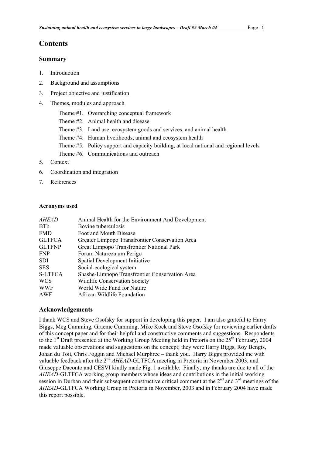# **Contents**

## Summary

- 1. Introduction
- 2. Background and assumptions
- 3. Project objective and justification
- 4. Themes, modules and approach
	- Theme #1. Overarching conceptual framework
	- Theme #2. Animal health and disease
	- Theme #3. Land use, ecosystem goods and services, and animal health
	- Theme #4. Human livelihoods, animal and ecosystem health
	- Theme #5. Policy support and capacity building, at local national and regional levels
	- Theme #6. Communications and outreach
- 5. Context
- 6. Coordination and integration
- 7. References

## Acronyms used

| <i>AHEAD</i>   | Animal Health for the Environment And Development |  |  |  |
|----------------|---------------------------------------------------|--|--|--|
| <b>BTb</b>     | Bovine tuberculosis                               |  |  |  |
| <b>FMD</b>     | Foot and Mouth Disease                            |  |  |  |
| <b>GLTFCA</b>  | Greater Limpopo Transfrontier Conservation Area   |  |  |  |
| <b>GLTFNP</b>  | Great Limpopo Transfrontier National Park         |  |  |  |
| <b>FNP</b>     | Forum Natureza um Perigo                          |  |  |  |
| <b>SDI</b>     | Spatial Development Initiative                    |  |  |  |
| <b>SES</b>     | Social-ecological system                          |  |  |  |
| <b>S-LTFCA</b> | Shashe-Limpopo Transfrontier Conservation Area    |  |  |  |
| <b>WCS</b>     | <b>Wildlife Conservation Society</b>              |  |  |  |
| <b>WWF</b>     | World Wide Fund for Nature                        |  |  |  |
| AWF            | African Wildlife Foundation                       |  |  |  |
|                |                                                   |  |  |  |

## Acknowledgements

I thank WCS and Steve Osofsky for support in developing this paper. I am also grateful to Harry Biggs, Meg Cumming, Graeme Cumming, Mike Kock and Steve Osofsky for reviewing earlier drafts of this concept paper and for their helpful and constructive comments and suggestions. Respondents to the 1<sup>st</sup> Draft presented at the Working Group Meeting held in Pretoria on the 25<sup>th</sup> February, 2004 made valuable observations and suggestions on the concept; they were Harry Biggs, Roy Bengis, Johan du Toit, Chris Foggin and Michael Murphree – thank you. Harry Biggs provided me with valuable feedback after the 2<sup>nd</sup> *AHEAD*-GLTFCA meeting in Pretoria in November 2003, and Giuseppe Daconto and CESVI kindly made Fig. 1 available. Finally, my thanks are due to all of the *AHEAD*-GLTFCA working group members whose ideas and contributions in the initial working session in Durban and their subsequent constructive critical comment at the  $2<sup>nd</sup>$  and  $3<sup>rd</sup>$  meetings of the *AHEAD*-GLTFCA Working Group in Pretoria in November, 2003 and in February 2004 have made this report possible.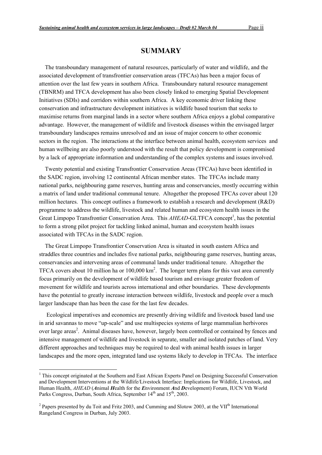# SUMMARY

The transboundary management of natural resources, particularly of water and wildlife, and the associated development of transfrontier conservation areas (TFCAs) has been a major focus of attention over the last few years in southern Africa. Transboundary natural resource management (TBNRM) and TFCA development has also been closely linked to emerging Spatial Development Initiatives (SDIs) and corridors within southern Africa. A key economic driver linking these conservation and infrastructure development initiatives is wildlife based tourism that seeks to maximise returns from marginal lands in a sector where southern Africa enjoys a global comparative advantage. However, the management of wildlife and livestock diseases within the envisaged larger transboundary landscapes remains unresolved and an issue of major concern to other economic sectors in the region. The interactions at the interface between animal health, ecosystem services and human wellbeing are also poorly understood with the result that policy development is compromised by a lack of appropriate information and understanding of the complex systems and issues involved.

Twenty potential and existing Transfrontier Conservation Areas (TFCAs) have been identified in the SADC region, involving 12 continental African member states. The TFCAs include many national parks, neighbouring game reserves, hunting areas and conservancies, mostly occurring within a matrix of land under traditional communal tenure. Altogether the proposed TFCAs cover about 120 million hectares. This concept outlines a framework to establish a research and development (R&D) programme to address the wildlife, livestock and related human and ecosystem health issues in the Great Limpopo Transfrontier Conservation Area. This *AHEAD*-GLTFCA concept<sup>1</sup>, has the potential to form a strong pilot project for tackling linked animal, human and ecosystem health issues associated with TFCAs in the SADC region.

The Great Limpopo Transfrontier Conservation Area is situated in south eastern Africa and straddles three countries and includes five national parks, neighbouring game reserves, hunting areas, conservancies and intervening areas of communal lands under traditional tenure. Altogether the TFCA covers about 10 million ha or  $100,000 \text{ km}^2$ . The longer term plans for this vast area currently focus primarily on the development of wildlife based tourism and envisage greater freedom of movement for wildlife and tourists across international and other boundaries. These developments have the potential to greatly increase interaction between wildlife, livestock and people over a much larger landscape than has been the case for the last few decades.

 Ecological imperatives and economics are presently driving wildlife and livestock based land use in arid savannas to move "up-scale" and use multispecies systems of large mammalian herbivores over large areas<sup>2</sup>. Animal diseases have, however, largely been controlled or contained by fences and intensive management of wildlife and livestock in separate, smaller and isolated patches of land. Very different approaches and techniques may be required to deal with animal health issues in larger landscapes and the more open, integrated land use systems likely to develop in TFCAs. The interface

 $\frac{1}{1}$ <sup>1</sup> This concept originated at the Southern and East African Experts Panel on Designing Successful Conservation and Development Interventions at the Wildlife/Livestock Interface: Implications for Wildlife, Livestock, and Human Health, *AHEAD* (*A*nimal *H*ealth for the *E*nvironment *A*nd *D*evelopment) Forum, IUCN Vth World Parks Congress, Durban, South Africa, September 14<sup>th</sup> and 15<sup>th</sup>, 2003.

<sup>&</sup>lt;sup>2</sup> Papers presented by du Toit and Fritz 2003, and Cumming and Slotow 2003, at the VII<sup>th</sup> International Rangeland Congress in Durban, July 2003.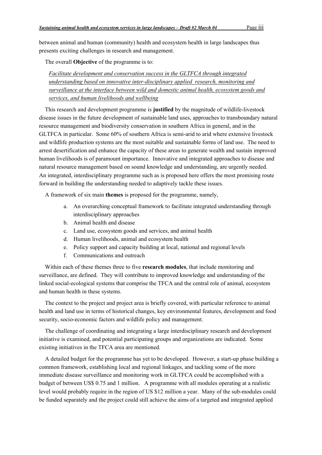between animal and human (community) health and ecosystem health in large landscapes thus presents exciting challenges in research and management.

The overall Objective of the programme is to:

*Facilitate development and conservation success in the GLTFCA through integrated understanding based on innovative inter-disciplinary applied research, monitoring and surveillance at the interface between wild and domestic animal health, ecosystem goods and services, and human livelihoods and wellbeing*

This research and development programme is justified by the magnitude of wildlife-livestock disease issues in the future development of sustainable land uses, approaches to transboundary natural resource management and biodiversity conservation in southern Africa in general, and in the GLTFCA in particular. Some 60% of southern Africa is semi-arid to arid where extensive livestock and wildlife production systems are the most suitable and sustainable forms of land use. The need to arrest desertification and enhance the capacity of these areas to generate wealth and sustain improved human livelihoods is of paramount importance. Innovative and integrated approaches to disease and natural resource management based on sound knowledge and understanding, are urgently needed. An integrated, interdisciplinary programme such as is proposed here offers the most promising route forward in building the understanding needed to adaptively tackle these issues.

A framework of six main themes is proposed for the programme, namely,

- a. An overarching conceptual framework to facilitate integrated understanding through interdisciplinary approaches
- b. Animal health and disease
- c. Land use, ecosystem goods and services, and animal health
- d. Human livelihoods, animal and ecosystem health
- e. Policy support and capacity building at local, national and regional levels
- f. Communications and outreach

Within each of these themes three to five **research modules**, that include monitoring and surveillance, are defined. They will contribute to improved knowledge and understanding of the linked social-ecological systems that comprise the TFCA and the central role of animal, ecosystem and human health in these systems.

The context to the project and project area is briefly covered, with particular reference to animal health and land use in terms of historical changes, key environmental features, development and food security, socio-economic factors and wildlife policy and management.

The challenge of coordinating and integrating a large interdisciplinary research and development initiative is examined, and potential participating groups and organizations are indicated. Some existing initiatives in the TFCA area are mentioned.

A detailed budget for the programme has yet to be developed. However, a start-up phase building a common framework, establishing local and regional linkages, and tackling some of the more immediate disease surveillance and monitoring work in GLTFCA could be accomplished with a budget of between US\$ 0.75 and 1 million. A programme with all modules operating at a realistic level would probably require in the region of US \$12 million a year. Many of the sub-modules could be funded separately and the project could still achieve the aims of a targeted and integrated applied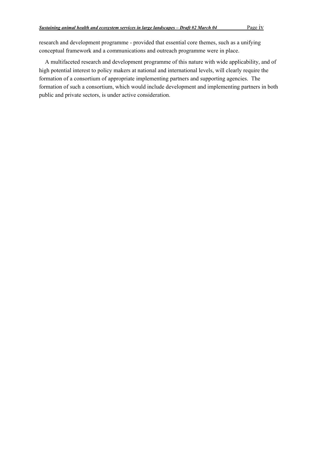research and development programme - provided that essential core themes, such as a unifying conceptual framework and a communications and outreach programme were in place.

A multifaceted research and development programme of this nature with wide applicability, and of high potential interest to policy makers at national and international levels, will clearly require the formation of a consortium of appropriate implementing partners and supporting agencies. The formation of such a consortium, which would include development and implementing partners in both public and private sectors, is under active consideration.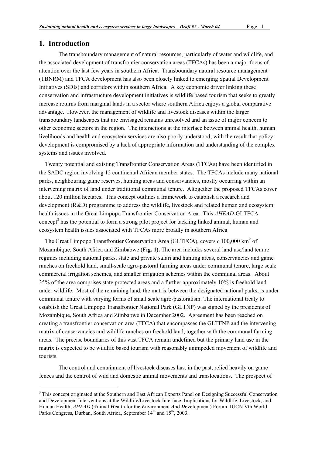# 1. Introduction

The transboundary management of natural resources, particularly of water and wildlife, and the associated development of transfrontier conservation areas (TFCAs) has been a major focus of attention over the last few years in southern Africa. Transboundary natural resource management (TBNRM) and TFCA development has also been closely linked to emerging Spatial Development Initiatives (SDIs) and corridors within southern Africa. A key economic driver linking these conservation and infrastructure development initiatives is wildlife based tourism that seeks to greatly increase returns from marginal lands in a sector where southern Africa enjoys a global comparative advantage. However, the management of wildlife and livestock diseases within the larger transboundary landscapes that are envisaged remains unresolved and an issue of major concern to other economic sectors in the region. The interactions at the interface between animal health, human livelihoods and health and ecosystem services are also poorly understood; with the result that policy development is compromised by a lack of appropriate information and understanding of the complex systems and issues involved.

Twenty potential and existing Transfrontier Conservation Areas (TFCAs) have been identified in the SADC region involving 12 continental African member states. The TFCAs include many national parks, neighbouring game reserves, hunting areas and conservancies, mostly occurring within an intervening matrix of land under traditional communal tenure. Altogether the proposed TFCAs cover about 120 million hectares. This concept outlines a framework to establish a research and development (R&D) programme to address the wildlife, livestock and related human and ecosystem health issues in the Great Limpopo Transfrontier Conservation Area. This *AHEAD*-GLTFCA concept<sup>3</sup> has the potential to form a strong pilot project for tackling linked animal, human and ecosystem health issues associated with TFCAs more broadly in southern Africa

The Great Limpopo Transfrontier Conservation Area (GLTFCA), covers *c*.100,000 km<sup>2</sup> of Mozambique, South Africa and Zimbabwe (Fig. 1). The area includes several land use/land tenure regimes including national parks, state and private safari and hunting areas, conservancies and game ranches on freehold land, small-scale agro-pastoral farming areas under communal tenure, large scale commercial irrigation schemes, and smaller irrigation schemes within the communal areas. About 35% of the area comprises state protected areas and a further approximately 10% is freehold land under wildlife. Most of the remaining land, the matrix between the designated national parks, is under communal tenure with varying forms of small scale agro-pastoralism. The international treaty to establish the Great Limpopo Transfrontier National Park (GLTNP) was signed by the presidents of Mozambique, South Africa and Zimbabwe in December 2002. Agreement has been reached on creating a transfrontier conservation area (TFCA) that encompasses the GLTFNP and the intervening matrix of conservancies and wildlife ranches on freehold land, together with the communal farming areas. The precise boundaries of this vast TFCA remain undefined but the primary land use in the matrix is expected to be wildlife based tourism with reasonably unimpeded movement of wildlife and tourists.

The control and containment of livestock diseases has, in the past, relied heavily on game fences and the control of wild and domestic animal movements and translocations. The prospect of

<sup>&</sup>lt;sup>2</sup><br>3 <sup>3</sup> This concept originated at the Southern and East African Experts Panel on Designing Successful Conservation and Development Interventions at the Wildlife/Livestock Interface: Implications for Wildlife, Livestock, and Human Health, *AHEAD* (*A*nimal *H*ealth for the *E*nvironment *A*nd *D*evelopment) Forum, IUCN Vth World Parks Congress, Durban, South Africa, September 14<sup>th</sup> and 15<sup>th</sup>, 2003.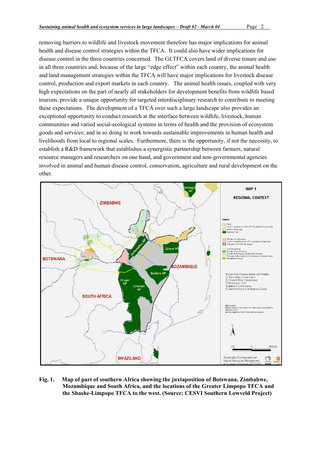removing barriers to wildlife and livestock movement therefore has major implications for animal health and disease control strategies within the TFCA. It could also have wider implications for disease control in the three countries concerned. The GLTFCA covers land of diverse tenure and use in all three countries and, because of the large "edge effect" within each country, the animal health and land management strategies within the TFCA will have major implications for livestock disease control, production and export markets in each country. The animal health issues, coupled with very high expectations on the part of nearly all stakeholders for development benefits from wildlife based tourism, provide a unique opportunity for targeted interdisciplinary research to contribute to meeting these expectations. The development of a TFCA over such a large landscape also provides an exceptional opportunity to conduct research at the interface between wildlife, livestock, human communities and varied social-ecological systems in terms of health and the provision of ecosystem goods and services; and in so doing to work towards sustainable improvements in human health and livelihoods from local to regional scales. Furthermore, there is the opportunity, if not the necessity, to establish a R&D framework that establishes a synergistic partnership between farmers, natural resource managers and researchers on one hand, and government and non-governmental agencies involved in animal and human disease control, conservation, agriculture and rural development on the other.



Fig. 1. Map of part of southern Africa showing the juxtaposition of Botswana, Zimbabwe, Mozambique and South Africa, and the locations of the Greater Limpopo TFCA and the Shashe-Limpopo TFCA to the west. (Source: CESVI Southern Lowveld Project)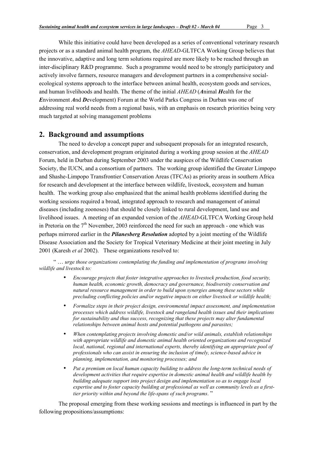While this initiative could have been developed as a series of conventional veterinary research projects or as a standard animal health program, the *AHEAD*-GLTFCA Working Group believes that the innovative, adaptive and long term solutions required are more likely to be reached through an inter-disciplinary R&D programme. Such a programme would need to be strongly participatory and actively involve farmers, resource managers and development partners in a comprehensive socialecological systems approach to the interface between animal health, ecosystem goods and services, and human livelihoods and health. The theme of the initial *AHEAD* (*A*nimal *H*ealth for the *E*nvironment *A*nd *D*evelopment) Forum at the World Parks Congress in Durban was one of addressing real world needs from a regional basis, with an emphasis on research priorities being very much targeted at solving management problems

# 2. Background and assumptions

The need to develop a concept paper and subsequent proposals for an integrated research, conservation, and development program originated during a working group session at the *AHEAD* Forum, held in Durban during September 2003 under the auspices of the Wildlife Conservation Society, the IUCN, and a consortium of partners. The working group identified the Greater Limpopo and Shashe-Limpopo Transfrontier Conservation Areas (TFCAs) as priority areas in southern Africa for research and development at the interface between wildlife, livestock, ecosystem and human health. The working group also emphasized that the animal health problems identified during the working sessions required a broad, integrated approach to research and management of animal diseases (including zoonoses) that should be closely linked to rural development, land use and livelihood issues. A meeting of an expanded version of the *AHEAD*-GLTFCA Working Group held in Pretoria on the  $7<sup>th</sup>$  November, 2003 reinforced the need for such an approach - one which was perhaps mirrored earlier in the *Pilanesberg Resolution* adopted by a joint meeting of the Wildlife Disease Association and the Society for Tropical Veterinary Medicine at their joint meeting in July 2001 (Karesh *et al* 2002). These organizations resolved to:

 " … *urge those organizations contemplating the funding and implementation of programs involving wildlife and livestock to:*

- *Encourage projects that foster integrative approaches to livestock production, food security, human health, economic growth, democracy and governance, biodiversity conservation and natural resource management in order to build upon synergies among these sectors while precluding conflicting policies and/or negative impacts on either livestock or wildlife health;*
- *Formalize steps in their project design, environmental impact assessment, and implementation processes which address wildlife, livestock and rangeland health issues and their implications for sustainability and thus success, recognizing that these projects may alter fundamental relationships between animal hosts and potential pathogens and parasites;*
- *When contemplating projects involving domestic and/or wild animals, establish relationships with appropriate wildlife and domestic animal health oriented organizations and recognized local, national, regional and international experts, thereby identifying an appropriate pool of professionals who can assist in ensuring the inclusion of timely, science-based advice in planning, implementation, and monitoring processes; and*
- *Put a premium on local human capacity building to address the long-term technical needs of development activities that require expertise in domestic animal health and wildlife health by building adequate support into project design and implementation so as to engage local expertise and to foster capacity building at professional as well as community levels as a firsttier priority within and beyond the life-spans of such programs*. "

The proposal emerging from these working sessions and meetings is influenced in part by the following propositions/assumptions: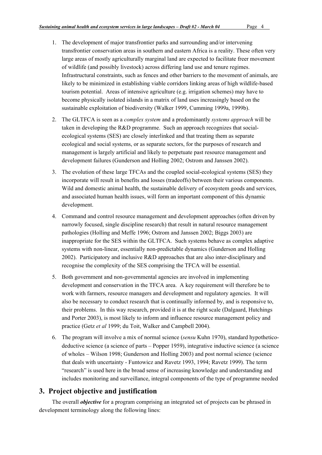- 1. The development of major transfrontier parks and surrounding and/or intervening transfrontier conservation areas in southern and eastern Africa is a reality. These often very large areas of mostly agriculturally marginal land are expected to facilitate freer movement of wildlife (and possibly livestock) across differing land use and tenure regimes. Infrastructural constraints, such as fences and other barriers to the movement of animals, are likely to be minimized in establishing viable corridors linking areas of high wildlife-based tourism potential. Areas of intensive agriculture (e.g. irrigation schemes) may have to become physically isolated islands in a matrix of land uses increasingly based on the sustainable exploitation of biodiversity (Walker 1999, Cumming 1999a, 1999b).
- 2. The GLTFCA is seen as a *complex system* and a predominantly *systems approach* will be taken in developing the R&D programme. Such an approach recognizes that socialecological systems (SES) are closely interlinked and that treating them as separate ecological and social systems, or as separate sectors, for the purposes of research and management is largely artificial and likely to perpetuate past resource management and development failures (Gunderson and Holling 2002; Ostrom and Janssen 2002).
- 3. The evolution of these large TFCAs and the coupled social-ecological systems (SES) they incorporate will result in benefits and losses (tradeoffs) between their various components. Wild and domestic animal health, the sustainable delivery of ecosystem goods and services, and associated human health issues, will form an important component of this dynamic development.
- 4. Command and control resource management and development approaches (often driven by narrowly focused, single discipline research) that result in natural resource management pathologies (Holling and Meffe 1996; Ostrom and Janssen 2002; Biggs 2003) are inappropriate for the SES within the GLTFCA. Such systems behave as complex adaptive systems with non-linear, essentially non-predictable dynamics (Gunderson and Holling 2002). Participatory and inclusive  $R&D$  approaches that are also inter-disciplinary and recognise the complexity of the SES comprising the TFCA will be essential.
- 5. Both government and non-governmental agencies are involved in implementing development and conservation in the TFCA area. A key requirement will therefore be to work with farmers, resource managers and development and regulatory agencies. It will also be necessary to conduct research that is continually informed by, and is responsive to, their problems. In this way research, provided it is at the right scale (Dalgaard, Hutchings and Porter 2003), is most likely to inform and influence resource management policy and practice (Getz *et al* 1999; du Toit, Walker and Campbell 2004).
- 6. The program will involve a mix of normal science (*sensu* Kuhn 1970), standard hypotheticodeductive science (a science of parts – Popper 1959), integrative inductive science (a science of wholes – Wilson 1998; Gunderson and Holling 2003) and post normal science (science that deals with uncertainty - Funtowicz and Ravetz 1993, 1994; Ravetz 1999). The term "research" is used here in the broad sense of increasing knowledge and understanding and includes monitoring and surveillance, integral components of the type of programme needed

# 3. Project objective and justification

The overall *objective* for a program comprising an integrated set of projects can be phrased in development terminology along the following lines: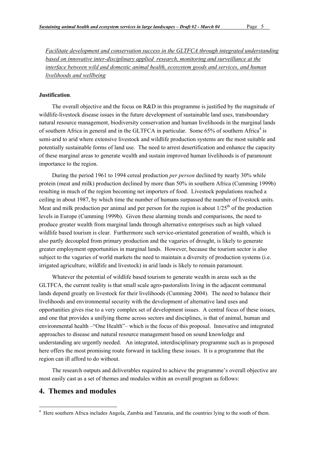*Facilitate development and conservation success in the GLTFCA through integrated understanding based on innovative inter-disciplinary applied research, monitoring and surveillance at the interface between wild and domestic animal health, ecosystem goods and services, and human livelihoods and wellbeing*

#### Justification.

The overall objective and the focus on R&D in this programme is justified by the magnitude of wildlife-livestock disease issues in the future development of sustainable land uses, transboundary natural resource management, biodiversity conservation and human livelihoods in the marginal lands of southern Africa in general and in the GLTFCA in particular. Some 65% of southern Africa<sup>4</sup> is semi-arid to arid where extensive livestock and wildlife production systems are the most suitable and potentially sustainable forms of land use. The need to arrest desertification and enhance the capacity of these marginal areas to generate wealth and sustain improved human livelihoods is of paramount importance to the region.

During the period 1961 to 1994 cereal production *per person* declined by nearly 30% while protein (meat and milk) production declined by more than 50% in southern Africa (Cumming 1999b) resulting in much of the region becoming net importers of food. Livestock populations reached a ceiling in about 1987, by which time the number of humans surpassed the number of livestock units. Meat and milk production per animal and per person for the region is about  $1/25<sup>th</sup>$  of the production levels in Europe (Cumming 1999b). Given these alarming trends and comparisons, the need to produce greater wealth from marginal lands through alternative enterprises such as high valued wildlife based tourism is clear. Furthermore such service-orientated generation of wealth, which is also partly decoupled from primary production and the vagaries of drought, is likely to generate greater employment opportunities in marginal lands. However, because the tourism sector is also subject to the vagaries of world markets the need to maintain a diversity of production systems (i.e. irrigated agriculture, wildlife and livestock) in arid lands is likely to remain paramount.

Whatever the potential of wildlife based tourism to generate wealth in areas such as the GLTFCA, the current reality is that small scale agro-pastoralists living in the adjacent communal lands depend greatly on livestock for their livelihoods (Cumming 2004). The need to balance their livelihoods and environmental security with the development of alternative land uses and opportunities gives rise to a very complex set of development issues. A central focus of these issues, and one that provides a unifying theme across sectors and disciplines, is that of animal, human and environmental health –"One Health"– which is the focus of this proposal. Innovative and integrated approaches to disease and natural resource management based on sound knowledge and understanding are urgently needed. An integrated, interdisciplinary programme such as is proposed here offers the most promising route forward in tackling these issues. It is a programme that the region can ill afford to do without.

The research outputs and deliverables required to achieve the programme's overall objective are most easily cast as a set of themes and modules within an overall program as follows:

# 4. Themes and modules

 $\frac{1}{4}$ <sup>4</sup> Here southern Africa includes Angola, Zambia and Tanzania, and the countries lying to the south of them.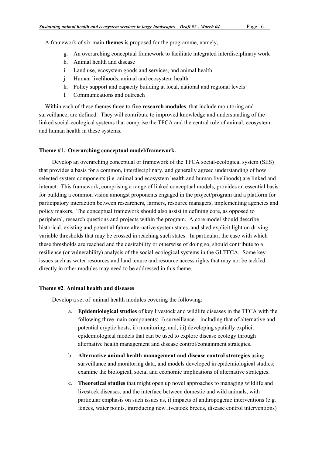A framework of six main themes is proposed for the programme, namely,

- g. An overarching conceptual framework to facilitate integrated interdisciplinary work
- h. Animal health and disease
- i. Land use, ecosystem goods and services, and animal health
- j. Human livelihoods, animal and ecosystem health
- k. Policy support and capacity building at local, national and regional levels
- l. Communications and outreach

Within each of these themes three to five **research modules**, that include monitoring and surveillance, are defined. They will contribute to improved knowledge and understanding of the linked social-ecological systems that comprise the TFCA and the central role of animal, ecosystem and human health in these systems.

## Theme #1. Overarching conceptual model/framework.

Develop an overarching conceptual or framework of the TFCA social-ecological system (SES) that provides a basis for a common, interdisciplinary, and generally agreed understanding of how selected system components (i.e. animal and ecosystem health and human livelihoods) are linked and interact. This framework, comprising a range of linked conceptual models, provides an essential basis for building a common vision amongst proponents engaged in the project/program and a platform for participatory interaction between researchers, farmers, resource managers, implementing agencies and policy makers. The conceptual framework should also assist in defining core, as opposed to peripheral, research questions and projects within the program. A core model should describe historical, existing and potential future alternative system states, and shed explicit light on driving variable thresholds that may be crossed in reaching such states. In particular, the ease with which these thresholds are reached and the desirability or otherwise of doing so, should contribute to a resilience (or vulnerability) analysis of the social-ecological systems in the GLTFCA. Some key issues such as water resources and land tenure and resource access rights that may not be tackled directly in other modules may need to be addressed in this theme.

#### Theme #2. Animal health and diseases

Develop a set of animal health modules covering the following:

- a. Epidemiological studies of key livestock and wildlife diseases in the TFCA with the following three main components: i) surveillance – including that of alternative and potential cryptic hosts, ii) monitoring, and, iii) developing spatially explicit epidemiological models that can be used to explore disease ecology through alternative health management and disease control/containment strategies.
- b. Alternative animal health management and disease control strategies using surveillance and monitoring data, and models developed in epidemiological studies; examine the biological, social and economic implications of alternative strategies.
- c. Theoretical studies that might open up novel approaches to managing wildlife and livestock diseases, and the interface between domestic and wild animals, with particular emphasis on such issues as, i) impacts of anthropogenic interventions (e.g. fences, water points, introducing new livestock breeds, disease control interventions)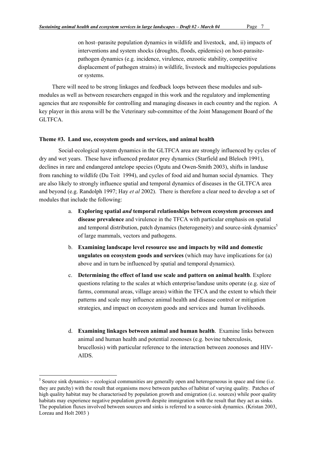on host–parasite population dynamics in wildlife and livestock, and, ii) impacts of interventions and system shocks (droughts, floods, epidemics) on host-parasitepathogen dynamics (e.g. incidence, virulence, enzootic stability, competitive displacement of pathogen strains) in wildlife, livestock and multispecies populations or systems.

There will need to be strong linkages and feedback loops between these modules and submodules as well as between researchers engaged in this work and the regulatory and implementing agencies that are responsible for controlling and managing diseases in each country and the region. A key player in this arena will be the Veterinary sub-committee of the Joint Management Board of the GLTFCA.

#### Theme #3. Land use, ecosystem goods and services, and animal health

Social-ecological system dynamics in the GLTFCA area are strongly influenced by cycles of dry and wet years. These have influenced predator prey dynamics (Starfield and Bleloch 1991), declines in rare and endangered antelope species (Ogutu and Owen-Smith 2003), shifts in landuse from ranching to wildlife (Du Toit 1994), and cycles of food aid and human social dynamics. They are also likely to strongly influence spatial and temporal dynamics of diseases in the GLTFCA area and beyond (e.g. Randolph 1997; Hay *et al* 2002). There is therefore a clear need to develop a set of modules that include the following:

- a. Exploring spatial *and* temporal relationships between ecosystem processes and disease prevalence and virulence in the TFCA with particular emphasis on spatial and temporal distribution, patch dynamics (heterogeneity) and source-sink dynamics<sup>5</sup> of large mammals, vectors and pathogens.
- b. Examining landscape level resource use and impacts by wild and domestic ungulates on ecosystem goods and services (which may have implications for (a) above and in turn be influenced by spatial and temporal dynamics).
- c. Determining the effect of land use scale and pattern on animal health. Explore questions relating to the scales at which enterprise/landuse units operate (e.g. size of farms, communal areas, village areas) within the TFCA and the extent to which their patterns and scale may influence animal health and disease control or mitigation strategies, and impact on ecosystem goods and services and human livelihoods.
- d. Examining linkages between animal and human health. Examine links between animal and human health and potential zoonoses (e.g. bovine tuberculosis, brucellosis) with particular reference to the interaction between zoonoses and HIV-AIDS.

 <sup>5</sup>  $\frac{5}{5}$  Source sink dynamics – ecological communities are generally open and heterogeneous in space and time (i.e. they are patchy) with the result that organisms move between patches of habitat of varying quality. Patches of high quality habitat may be characterised by population growth and emigration (i.e. sources) while poor quality habitats may experience negative population growth despite immigration with the result that they act as sinks. The population fluxes involved between sources and sinks is referred to a source-sink dynamics. (Kristan 2003, Loreau and Holt 2003 )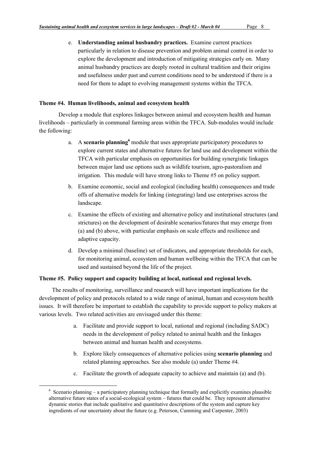e. Understanding animal husbandry practices. Examine current practices particularly in relation to disease prevention and problem animal control in order to explore the development and introduction of mitigating strategies early on. Many animal husbandry practices are deeply rooted in cultural tradition and their origins and usefulness under past and current conditions need to be understood if there is a need for them to adapt to evolving management systems within the TFCA.

#### Theme #4. Human livelihoods, animal and ecosystem health

Develop a module that explores linkages between animal and ecosystem health and human livelihoods – particularly in communal farming areas within the TFCA. Sub-modules would include the following:

- a. A scenario planning<sup>6</sup> module that uses appropriate participatory procedures to explore current states and alternative futures for land use and development within the TFCA with particular emphasis on opportunities for building synergistic linkages between major land use options such as wildlife tourism, agro-pastoralism and irrigation. This module will have strong links to Theme #5 on policy support.
- b. Examine economic, social and ecological (including health) consequences and trade offs of alternative models for linking (integrating) land use enterprises across the landscape.
- c. Examine the effects of existing and alternative policy and institutional structures (and strictures) on the development of desirable scenarios/futures that may emerge from (a) and (b) above, with particular emphasis on scale effects and resilience and adaptive capacity.
- d. Develop a minimal (baseline) set of indicators, and appropriate thresholds for each, for monitoring animal, ecosystem and human wellbeing within the TFCA that can be used and sustained beyond the life of the project.

## Theme #5. Policy support and capacity building at local, national and regional levels.

The results of monitoring, surveillance and research will have important implications for the development of policy and protocols related to a wide range of animal, human and ecosystem health issues. It will therefore be important to establish the capability to provide support to policy makers at various levels. Two related activities are envisaged under this theme:

- a. Facilitate and provide support to local, national and regional (including SADC) needs in the development of policy related to animal health and the linkages between animal and human health and ecosystems.
- b. Explore likely consequences of alternative policies using scenario planning and related planning approaches. See also module (a) under Theme #4.
- c. Facilitate the growth of adequate capacity to achieve and maintain (a) and (b).

 <sup>6</sup>  $6$  Scenario planning – a participatory planning technique that formally and explicitly examines plausible alternative future states of a social-ecological system – futures that could be. They represent alternative dynamic stories that include qualitative and quantitative descriptions of the system and capture key ingredients of our uncertainty about the future (e.g. Peterson, Cumming and Carpenter, 2003)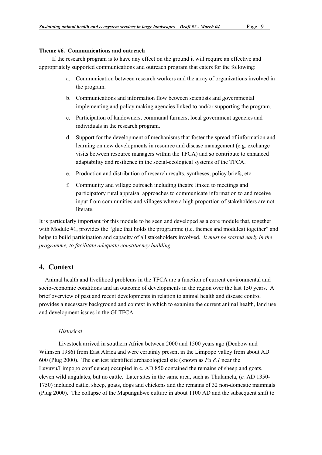## Theme #6. Communications and outreach

If the research program is to have any effect on the ground it will require an effective and appropriately supported communications and outreach program that caters for the following:

- a. Communication between research workers and the array of organizations involved in the program.
- b. Communications and information flow between scientists and governmental implementing and policy making agencies linked to and/or supporting the program.
- c. Participation of landowners, communal farmers, local government agencies and individuals in the research program.
- d. Support for the development of mechanisms that foster the spread of information and learning on new developments in resource and disease management (e.g. exchange visits between resource managers within the TFCA) and so contribute to enhanced adaptability and resilience in the social-ecological systems of the TFCA.
- e. Production and distribution of research results, syntheses, policy briefs, etc.
- f. Community and village outreach including theatre linked to meetings and participatory rural appraisal approaches to communicate information to and receive input from communities and villages where a high proportion of stakeholders are not literate.

It is particularly important for this module to be seen and developed as a core module that, together with Module #1, provides the "glue that holds the programme (i.e. themes and modules) together" and helps to build participation and capacity of all stakeholders involved. *It must be started early in the programme, to facilitate adequate constituency building.*

# 4. Context

 $\overline{a}$ 

Animal health and livelihood problems in the TFCA are a function of current environmental and socio-economic conditions and an outcome of developments in the region over the last 150 years. A brief overview of past and recent developments in relation to animal health and disease control provides a necessary background and context in which to examine the current animal health, land use and development issues in the GLTFCA.

## *Historical*

Livestock arrived in southern Africa between 2000 and 1500 years ago (Denbow and Wilmsen 1986) from East Africa and were certainly present in the Limpopo valley from about AD 600 (Plug 2000). The earliest identified archaeological site (known as *Pa 8.1* near the Luvuvu/Limpopo confluence) occupied in c. AD 850 contained the remains of sheep and goats, eleven wild ungulates, but no cattle. Later sites in the same area, such as Thulamela, (*c.* AD 1350- 1750) included cattle, sheep, goats, dogs and chickens and the remains of 32 non-domestic mammals (Plug 2000). The collapse of the Mapungubwe culture in about 1100 AD and the subsequent shift to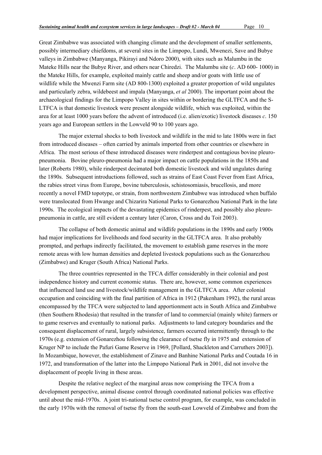Great Zimbabwe was associated with changing climate and the development of smaller settlements, possibly intermediary chiefdoms, at several sites in the Limpopo, Lundi, Mwenezi, Save and Bubye valleys in Zimbabwe (Manyanga, Pikirayi and Ndoro 2000), with sites such as Malumbu in the Mateke Hills near the Bubye River, and others near Chiredzi. The Malumbu site (*c*. AD 600- 1000) in the Mateke Hills, for example, exploited mainly cattle and sheep and/or goats with little use of wildlife while the Mwenzi Farm site (AD 800-1300) exploited a greater proportion of wild ungulates and particularly zebra, wildebeest and impala (Manyanga, *et al* 2000). The important point about the archaeological findings for the Limpopo Valley in sites within or bordering the GLTFCA and the S-LTFCA is that domestic livestock were present alongside wildlife, which was exploited, within the area for at least 1000 years before the advent of introduced (i.e. alien/exotic) livestock diseases *c*. 150 years ago and European settlers in the Lowveld 90 to 100 years ago.

The major external shocks to both livestock and wildlife in the mid to late 1800s were in fact from introduced diseases – often carried by animals imported from other countries or elsewhere in Africa. The most serious of these introduced diseases were rinderpest and contagious bovine pleuropneumonia. Bovine pleuro-pneumonia had a major impact on cattle populations in the 1850s and later (Roberts 1980), while rinderpest decimated both domestic livestock and wild ungulates during the 1890s. Subsequent introductions followed, such as strains of East Coast Fever from East Africa, the rabies street virus from Europe, bovine tuberculosis, schistosomiasis, brucellosis, and more recently a novel FMD topotype, or strain, from northwestern Zimbabwe was introduced when buffalo were translocated from Hwange and Chizarira National Parks to Gonarezhou National Park in the late 1990s. The ecological impacts of the devastating epidemics of rinderpest, and possibly also pleuropneumonia in cattle, are still evident a century later (Caron, Cross and du Toit 2003).

The collapse of both domestic animal and wildlife populations in the 1890s and early 1900s had major implications for livelihoods and food security in the GLTFCA area. It also probably prompted, and perhaps indirectly facilitated, the movement to establish game reserves in the more remote areas with low human densities and depleted livestock populations such as the Gonarezhou (Zimbabwe) and Kruger (South Africa) National Parks.

The three countries represented in the TFCA differ considerably in their colonial and post independence history and current economic status. There are, however, some common experiences that influenced land use and livestock/wildlife management in the GLTFCA area. After colonial occupation and coinciding with the final partition of Africa in 1912 (Pakenham 1992), the rural areas encompassed by the TFCA were subjected to land apportionment acts in South Africa and Zimbabwe (then Southern Rhodesia) that resulted in the transfer of land to commercial (mainly white) farmers or to game reserves and eventually to national parks. Adjustments to land category boundaries and the consequent displacement of rural, largely subsistence, farmers occurred intermittently through to the 1970s (e.g. extension of Gonarezhou following the clearance of tsetse fly in 1975 and extension of Kruger NP to include the Pafuri Game Reserve in 1969, [Pollard, Shackleton and Carruthers 2003]). In Mozambique, however, the establishment of Zinave and Banhine National Parks and Coutada 16 in 1972, and transformation of the latter into the Limpopo National Park in 2001, did not involve the displacement of people living in these areas.

Despite the relative neglect of the marginal areas now comprising the TFCA from a development perspective, animal disease control through coordinated national policies was effective until about the mid-1970s. A joint tri-national tsetse control program, for example, was concluded in the early 1970s with the removal of tsetse fly from the south-east Lowveld of Zimbabwe and from the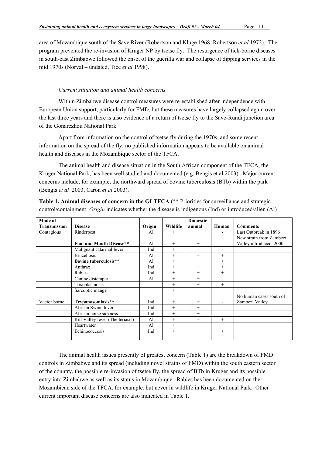area of Mozambique south of the Save River (Robertson and Kluge 1968, Robertson *et al* 1972). The program prevented the re-invasion of Kruger NP by tsetse fly. The resurgence of tick-borne diseases in south-east Zimbabwe followed the onset of the guerilla war and collapse of dipping services in the mid 1970s (Norval – undated, Tice *et al* 1998).

## *Current situation and animal health concerns*

Within Zimbabwe disease control measures were re-established after independence with European Union support, particularly for FMD, but these measures have largely collapsed again over the last three years and there is also evidence of a return of tsetse fly to the Save-Rundi junction area of the Gonarezhou National Park.

Apart from information on the control of tsetse fly during the 1970s, and some recent information on the spread of the fly, no published information appears to be available on animal health and diseases in the Mozambique sector of the TFCA.

The animal health and disease situation in the South African component of the TFCA, the Kruger National Park, has been well studied and documented (e.g. Bengis et al 2003). Major current concerns include, for example, the northward spread of bovine tuberculosis (BTb) within the park (Bengis *et al* 2003, Caron *et al* 2003).

| Mode of             |                                  |        |          | <b>Domestic</b> |                          |                         |
|---------------------|----------------------------------|--------|----------|-----------------|--------------------------|-------------------------|
| <b>Transmission</b> | <b>Disease</b>                   | Origin | Wildlife | animal          | Human                    | <b>Comments</b>         |
| Contagious          | Rinderpest                       | A1     | $+$      | $^{+}$          | $\overline{\phantom{a}}$ | Last Outbreak in 1896   |
|                     |                                  |        |          |                 |                          | New strain from Zambezi |
|                     | Foot and Mouth Disease**         | Al     | $^{+}$   | $^{+}$          | $\overline{\phantom{a}}$ | Valley introduced 2000  |
|                     | Malignant catarrhal fever        | Ind    | $+$      | $^{+}$          |                          |                         |
|                     | <b>Brucellosis</b>               | A1     | $^{+}$   | $+$             | $^{+}$                   |                         |
|                     | Bovine tuberculosis**            | A1     | $^{+}$   | $+$             | $^{+}$                   |                         |
|                     | Anthrax                          | Ind    | $^{+}$   | $+$             | $^{+}$                   |                         |
|                     | Rabies                           | Ind    | $+$      | $+$             | $+$                      |                         |
|                     | Canine distemper                 | Al     | $^{+}$   | $+$             | $\blacksquare$           |                         |
|                     | Toxoplasmosis                    |        | $^{+}$   | $+$             | $^{+}$                   |                         |
|                     | Sarcoptic mange                  |        | $+$      |                 |                          |                         |
|                     |                                  |        |          |                 |                          | No human cases south of |
| Vector borne        | Trypanosomiasis**                | Ind    | $^{+}$   | $+$             |                          | Zambezi Valley          |
|                     | African Swine fever              | Ind    | $+$      | $+$             | $\blacksquare$           |                         |
|                     | African horse sickness           | Ind    | $^{+}$   | $+$             |                          |                         |
|                     | Rift Valley fever (Theileriasis) | Al     | $^{+}$   | $+$             | $^{+}$                   |                         |
|                     | Heartwater                       | Al     | $+$      | $+$             |                          |                         |
|                     | Echinococcosis                   | Ind    | $^{+}$   | $+$             | $^{+}$                   |                         |
|                     |                                  |        |          |                 |                          |                         |

Table 1. Animal diseases of concern in the GLTFCA (\*\* Priorities for surveillance and strategic control/containment: *Origin* indicates whether the disease is indigenous (Ind) or introduced/alien (Al)

The animal health issues presently of greatest concern (Table 1) are the breakdown of FMD controls in Zimbabwe and its spread (including novel strains of FMD) within the south eastern sector of the country, the possible re-invasion of tsetse fly, the spread of BTb in Kruger and its possible entry into Zimbabwe as well as its status in Mozambique. Rabies has been documented on the Mozambican side of the TFCA, for example, but never in wildlife in Kruger National Park. Other current important disease concerns are also indicated in Table 1.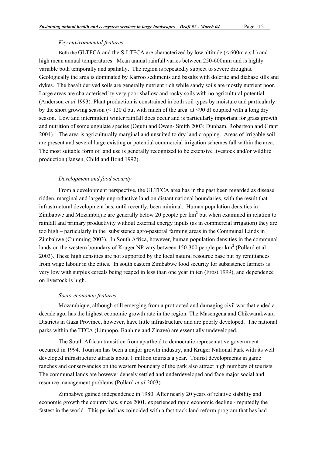#### *Key environmental features*

Both the GLTFCA and the S-LTFCA are characterized by low altitude (< 600m a.s.l.) and high mean annual temperatures. Mean annual rainfall varies between 250-600mm and is highly variable both temporally and spatially. The region is repeatedly subject to severe droughts. Geologically the area is dominated by Karroo sediments and basalts with dolerite and diabase sills and dykes. The basalt derived soils are generally nutrient rich while sandy soils are mostly nutrient poor. Large areas are characterised by very poor shallow and rocky soils with no agricultural potential (Anderson *et al* 1993). Plant production is constrained in both soil types by moisture and particularly by the short growing season  $(5120 \text{ d} \text{ but with much of the area at } 590 \text{ d})$  coupled with a long dry season. Low and intermittent winter rainfall does occur and is particularly important for grass growth and nutrition of some ungulate species (Ogutu and Owen- Smith 2003; Dunham, Robertson and Grant 2004). The area is agriculturally marginal and unsuited to dry land cropping. Areas of irrigable soil are present and several large existing or potential commercial irrigation schemes fall within the area. The most suitable form of land use is generally recognized to be extensive livestock and/or wildlife production (Jansen, Child and Bond 1992).

#### *Development and food security*

From a development perspective, the GLTFCA area has in the past been regarded as disease ridden, marginal and largely unproductive land on distant national boundaries, with the result that infrastructural development has, until recently, been minimal. Human population densities in Zimbabwe and Mozambique are generally below 20 people per  $km^2$  but when examined in relation to rainfall and primary productivity without external energy inputs (as in commercial irrigation) they are too high – particularly in the subsistence agro-pastoral farming areas in the Communal Lands in Zimbabwe (Cumming 2003). In South Africa, however, human population densities in the communal lands on the western boundary of Kruger NP vary between 150-300 people per  $km^2$  (Pollard et al 2003). These high densities are not supported by the local natural resource base but by remittances from wage labour in the cities. In south eastern Zimbabwe food security for subsistence farmers is very low with surplus cereals being reaped in less than one year in ten (Frost 1999), and dependence on livestock is high.

#### *Socio-economic features*

Mozambique, although still emerging from a protracted and damaging civil war that ended a decade ago, has the highest economic growth rate in the region. The Masengena and Chikwarakwara Districts in Gaza Province, however, have little infrastructure and are poorly developed. The national parks within the TFCA (Limpopo, Banhine and Zinave) are essentially undeveloped.

The South African transition from apartheid to democratic representative government occurred in 1994. Tourism has been a major growth industry, and Kruger National Park with its well developed infrastructure attracts about 1 million tourists a year. Tourist developments in game ranches and conservancies on the western boundary of the park also attract high numbers of tourists. The communal lands are however densely settled and underdeveloped and face major social and resource management problems (Pollard *et al* 2003).

Zimbabwe gained independence in 1980. After nearly 20 years of relative stability and economic growth the country has, since 2001, experienced rapid economic decline - reputedly the fastest in the world. This period has coincided with a fast track land reform program that has had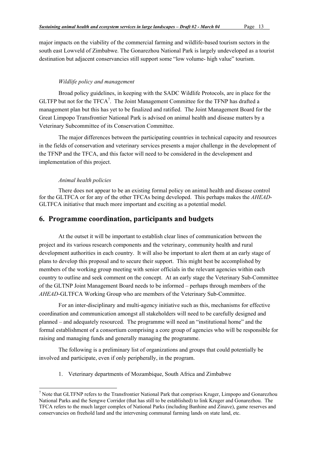major impacts on the viability of the commercial farming and wildlife-based tourism sectors in the south east Lowveld of Zimbabwe. The Gonarezhou National Park is largely undeveloped as a tourist destination but adjacent conservancies still support some "low volume- high value" tourism.

#### *Wildlife policy and management*

Broad policy guidelines, in keeping with the SADC Wildlife Protocols, are in place for the GLTFP but not for the TFCA<sup>7</sup>. The Joint Management Committee for the TFNP has drafted a management plan but this has yet to be finalized and ratified. The Joint Management Board for the Great Limpopo Transfrontier National Park is advised on animal health and disease matters by a Veterinary Subcommittee of its Conservation Committee.

The major differences between the participating countries in technical capacity and resources in the fields of conservation and veterinary services presents a major challenge in the development of the TFNP and the TFCA, and this factor will need to be considered in the development and implementation of this project.

#### *Animal health policies*

There does not appear to be an existing formal policy on animal health and disease control for the GLTFCA or for any of the other TFCAs being developed. This perhaps makes the *AHEAD*-GLTFCA initiative that much more important and exciting as a potential model.

# 6. Programme coordination, participants and budgets

At the outset it will be important to establish clear lines of communication between the project and its various research components and the veterinary, community health and rural development authorities in each country. It will also be important to alert them at an early stage of plans to develop this proposal and to secure their support. This might best be accomplished by members of the working group meeting with senior officials in the relevant agencies within each country to outline and seek comment on the concept. At an early stage the Veterinary Sub-Committee of the GLTNP Joint Management Board needs to be informed – perhaps through members of the *AHEAD*-GLTFCA Working Group who are members of the Veterinary Sub-Committee.

For an inter-disciplinary and multi-agency initiative such as this, mechanisms for effective coordination and communication amongst all stakeholders will need to be carefully designed and planned – and adequately resourced. The programme will need an "institutional home" and the formal establishment of a consortium comprising a core group of agencies who will be responsible for raising and managing funds and generally managing the programme.

The following is a preliminary list of organizations and groups that could potentially be involved and participate, even if only peripherally, in the program.

1. Veterinary departments of Mozambique, South Africa and Zimbabwe

<sup>-&</sup>lt;br>7  $\frac{1}{2}$  Note that GLTFNP refers to the Transfrontier National Park that comprises Kruger, Limpopo and Gonarezhou National Parks and the Sengwe Corridor (that has still to be established) to link Kruger and Gonarezhou. The TFCA refers to the much larger complex of National Parks (including Banhine and Zinave), game reserves and conservancies on freehold land and the intervening communal farming lands on state land, etc.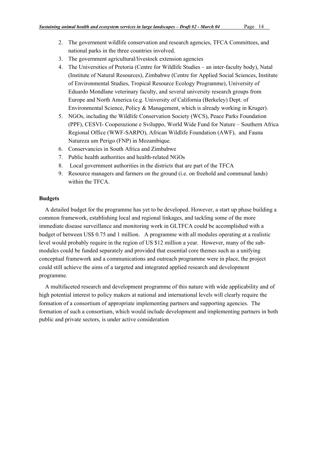- 2. The government wildlife conservation and research agencies, TFCA Committees, and national parks in the three countries involved.
- 3. The government agricultural/livestock extension agencies
- 4. The Universities of Pretoria (Centre for Wildlife Studies an inter-faculty body), Natal (Institute of Natural Resources), Zimbabwe (Centre for Applied Social Sciences, Institute of Environmental Studies, Tropical Resource Ecology Programme), University of Eduardo Mondlane veterinary faculty, and several university research groups from Europe and North America (e.g. University of California (Berkeley) Dept. of Environmental Science, Policy & Management, which is already working in Kruger).
- 5. NGOs, including the Wildlife Conservation Society (WCS), Peace Parks Foundation (PPF), CESVI- Cooperazione e Sviluppo, World Wide Fund for Nature – Southern Africa Regional Office (WWF-SARPO), African Wildlife Foundation (AWF), and Fauna Natureza um Perigo (FNP) in Mozambique.
- 6. Conservancies in South Africa and Zimbabwe
- 7. Public health authorities and health-related NGOs
- 8. Local government authorities in the districts that are part of the TFCA
- 9. Resource managers and farmers on the ground (i.e. on freehold and communal lands) within the TFCA.

#### **Budgets**

A detailed budget for the programme has yet to be developed. However, a start up phase building a common framework, establishing local and regional linkages, and tackling some of the more immediate disease surveillance and monitoring work in GLTFCA could be accomplished with a budget of between US\$ 0.75 and 1 million. A programme with all modules operating at a realistic level would probably require in the region of US \$12 million a year. However, many of the submodules could be funded separately and provided that essential core themes such as a unifying conceptual framework and a communications and outreach programme were in place, the project could still achieve the aims of a targeted and integrated applied research and development programme.

A multifaceted research and development programme of this nature with wide applicability and of high potential interest to policy makers at national and international levels will clearly require the formation of a consortium of appropriate implementing partners and supporting agencies. The formation of such a consortium, which would include development and implementing partners in both public and private sectors, is under active consideration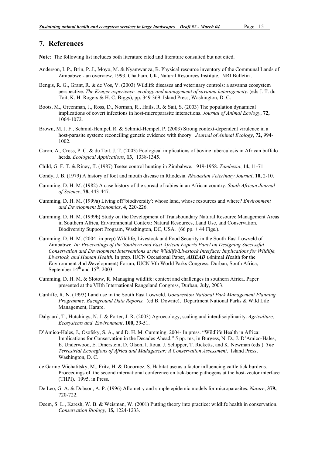# 7. References

Note: The following list includes both literature cited and literature consulted but not cited.

- Anderson, I. P., Brin, P. J., Moyo, M. & Nyamwanza, B. Physical resource inventory of the Communal Lands of Zimbabwe - an overview. 1993. Chatham, UK, Natural Resources Institute. NRI Bulletin .
- Bengis, R. G., Grant, R. & de Vos, V. (2003) Wildlife diseases and veterinary controls: a savanna ecosystem perspective. *The Kruger experience: ecology and management of savanna heterogeneity.* (eds J. T. du Toit, K. H. Rogers & H. C. Biggs), pp. 349-369. Island Press, Washington, D. C.
- Boots, M., Greenman, J., Ross, D., Norman, R., Hails, R. & Sait, S. (2003) The population dynamical implications of covert infections in host-microparasite interactions. *Journal of Animal Ecology*, 72, 1064-1072.
- Brown, M. J. F., Schmid-Hempel, R. & Schmid-Hempel, P. (2003) Strong context-dependent virulence in a host-parasite system: reconciling genetic evidence with theory. *Journal of Animal Ecology*, 72, 994- 1002.
- Caron, A., Cross, P. C. & du Toit, J. T. (2003) Ecological implications of bovine tuberculosis in African buffalo herds. *Ecological Applications*, 13, 1338-1345.
- Child, G. F. T. & Riney, T. (1987) Tsetse control hunting in Zimbabwe, 1919-1958. *Zambezia*, 14, 11-71.
- Condy, J. B. (1979) A history of foot and mouth disease in Rhodesia. *Rhodesian Veterinary Journal*, 10, 2-10.
- Cumming, D. H. M. (1982) A case history of the spread of rabies in an African country. *South African Journal of Science*, 78, 443-447.
- Cumming, D. H. M. (1999a) Living off 'biodiversity': whose land, whose resources and where? *Environment and Development Economics*, 4, 220-226.
- Cumming, D. H. M. (1999b) Study on the Development of Transboundary Natural Resource Management Areas in Southern Africa, Environmental Context: Natural Resources, Land Use, and Conservation. Biodiversity Support Program, Washington, DC, USA. (66 pp. + 44 Figs.).
- Cumming, D. H. M. (2004- in prep) Wildlife, Livestock and Food Security in the South-East Lowveld of Zimbabwe. *In: Proceedings of the Southern and East African Experts Panel on Designing Successful Conservation and Development Interventions at the Wildlife/Livestock Interface: Implications for Wildlife, Livestock, and Human Health.* In prep. IUCN Occasional Paper, *AHEAD* (*A*nimal *H*ealth for the *E*nvironment *A*nd *D*evelopment) Forum, IUCN Vth World Parks Congress, Durban, South Africa, September  $14<sup>th</sup>$  and  $15<sup>th</sup>$ , 2003
- Cumming, D. H. M. & Slotow, R. Managing wildlife: context and challenges in southern Africa. Paper presented at the VIIth International Rangeland Congress, Durban, July, 2003.
- Cunliffe, R. N. (1993) Land use in the South East Lowveld. *Gonarezhou National Park Management Planning Programme. Background Data Reports.* (ed B. Downie), Department National Parks & Wild Life Management, Harare.
- Dalgaard, T., Hutchings, N. J. & Porter, J. R. (2003) Agroecology, scaling and interdisciplinarity. *Agriculture, Ecosystems and Environment*, 100, 39-51.
- D'Amico-Hales, J., Osofsky, S. A., and D. H. M. Cumming. 2004- In press. "Wildlife Health in Africa: Implications for Conservation in the Decades Ahead," 5 pp. ms, in Burgess, N. D., J. D'Amico-Hales, E. Underwood, E. Dinerstein, D. Olson, I. Itoua, J. Schipper, T. Ricketts, and K. Newman (eds.) *The Terrestrial Ecoregions of Africa and Madagascar: A Conservation Assessment*. Island Press, Washington, D. C.
- de Garine-Wichatitsky, M., Fritz, H. & Ducornez, S. Habitat use as a factor influencing cattle tick burdens. Proceedings of the second international conference on tick-borne pathogens at the host-vector interface (THPI). 1995. in Press.
- De Leo, G. A. & Dobson, A. P. (1996) Allometry and simple epidemic models for microparasites. *Nature*, 379, 720-722.
- Deem, S. L., Karesh, W. B. & Weisman, W. (2001) Putting theory into practice: wildlife health in conservation. *Conservation Biology*, 15, 1224-1233.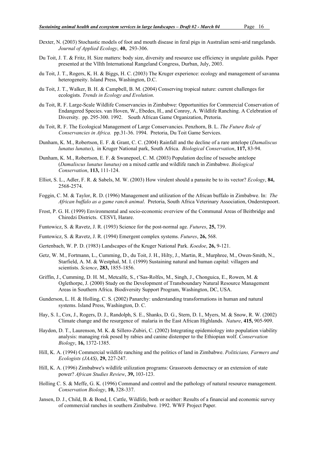- Dexter, N. (2003) Stochastic models of foot and mouth disease in feral pigs in Australian semi-arid rangelands. *Journal of Applied Ecology*, 40, 293-306.
- Du Toit, J. T. & Fritz, H. Size matters: body size, diversity and resource use efficiency in ungulate guilds. Paper presented at the VIIth International Rangeland Congress, Durban, July, 2003.
- du Toit, J. T., Rogers, K. H. & Biggs, H. C. (2003) The Kruger experience: ecology and management of savanna heterogeneity. Island Press, Washington, D.C.
- du Toit, J. T., Walker, B. H. & Campbell, B. M. (2004) Conserving tropical nature: current challenges for ecologists. *Trends in Ecology and Evolution*.
- du Toit, R. F. Large-Scale Wildlife Conservancies in Zimbabwe: Opportunities for Commercial Conservation of Endangered Species. van Hoven, W., Ebedes, H., and Conroy, A. Wildlife Ranching. A Celebration of Diversity. pp. 295-300. 1992. South African Game Organization, Pretoria.
- du Toit, R. F. The Ecological Management of Large Conservancies. Penzhorn, B. L. *The Future Role of Conservancies in Africa.* pp.31-36. 1994. Pretoria, Du Toit Game Services.
- Dunham, K. M., Robertson, E. F. & Grant, C. C. (2004) Rainfall and the decline of a rare antelope (*Damaliscus lunatus lunatus*), in Kruger National park, South Africa. *Biological Conservation*, 117, 83-94.
- Dunham, K. M., Robertson, E. F. & Swanepoel, C. M. (2003) Population decline of tsessebe antelope (*Damaliscus lunatus lunatus)* on a mixed cattle and wildlife ranch in Zimbabwe. *Biological Conservation*, 113, 111-124.
- Elliot, S. L., Adler, F. R. & Sabels, M. W. (2003) How virulent should a parasite be to its vector? *Ecology*, 84, 2568-2574.
- Foggin, C. M. & Taylor, R. D. (1996) Management and utilization of the African buffalo in Zimbabwe. In: *The African buffalo as a game ranch animal*. Pretoria, South Africa Veterinary Association, Onderstepoort.
- Frost, P. G. H. (1999) Environmental and socio-economic overview of the Communal Areas of Beitbridge and Chiredzi Districts. CESVI, Harare.
- Funtowicz, S. & Ravetz, J. R. (1993) Science for the post-normal age. *Futures*, 25, 739.
- Funtowicz, S. & Ravetz, J. R. (1994) Emergent complex systems. *Futures*, 26, 568.
- Gertenbach, W. P. D. (1983) Landscapes of the Kruger National Park. *Koedoe*, 26, 9-121.
- Getz, W. M., Fortmann, L., Cumming, D., du Toit, J. H., Hilty, J., Martin, R., Murphree, M., Owen-Smith, N., Starfield, A. M. & Westphal, M. I. (1999) Sustaining natural and human capital: villagers and scientists. *Science*, 283, 1855-1856.
- Griffin, J., Cumming, D. H. M., Metcalfe, S., t'Sas-Rolfes, M., Singh, J., Chonguica, E., Rowen, M. & Oglethorpe, J. (2000) Study on the Development of Transboundary Natural Resource Management Areas in Southern Africa. Biodiversity Support Program, Washington, DC, USA.
- Gunderson, L. H. & Holling, C. S. (2002) Panarchy: understanding transformations in human and natural systems. Island Press, Washington, D. C.
- Hay, S. I., Cox, J., Rogers, D. J., Randolph, S. E., Shanks, D. G., Stern, D. I., Myers, M. & Snow, R. W. (2002) Climate change and the resurgence of malaria in the East African Highlands. *Nature*, 415, 905-909.
- Haydon, D. T., Laurenson, M. K. & Sillero-Zubiri, C. (2002) Integrating epidemiology into population viability analysis: managing risk posed by rabies and canine distemper to the Ethiopian wolf. *Conservation Biology*, 16, 1372-1385.
- Hill, K. A. (1994) Commercial wildlife ranching and the politics of land in Zimbabwe. *Politicians, Farmers and Ecologists (JAAS)*, 29, 227-247.
- Hill, K. A. (1996) Zimbabwe's wildlife utilization programs: Grassroots democracy or an extension of state power? *African Studies Review*, 39, 103-123.
- Holling C. S. & Meffe, G. K. (1996) Command and control and the pathology of natural resource management. *Conservation Biology*, 10, 328-337.
- Jansen, D. J., Child, B. & Bond, I. Cattle, Wildlife, both or neither: Results of a financial and economic survey of commercial ranches in southern Zimbabwe. 1992. WWF Project Paper.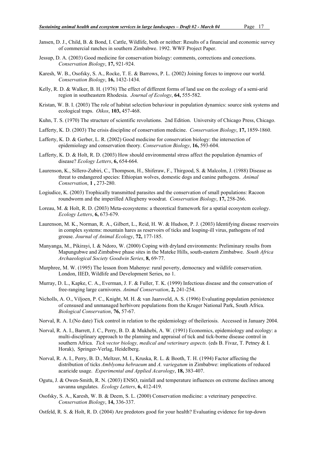- Jansen, D. J., Child, B. & Bond, I. Cattle, Wildlife, both or neither: Results of a financial and economic survey of commercial ranches in southern Zimbabwe. 1992. WWF Project Paper.
- Jessup, D. A. (2003) Good medicine for conservation biology: comments, corrections and conections. *Conservation Biology*, 17, 921-924.
- Karesh, W. B., Osofsky, S. A., Rocke, T. E. & Barrows, P. L. (2002) Joining forces to improve our world. *Conservation Biology*, 16, 1432-1434.
- Kelly, R. D. & Walker, B. H. (1976) The effect of different forms of land use on the ecology of a semi-arid region in southeastern Rhodesia. *Journal of Ecology*, 64, 555-582.
- Kristan, W. B. I. (2003) The role of habitat selection behaviour in population dynamics: source sink systems and ecological traps. *Oikos*, 103, 457-468.
- Kuhn, T. S. (1970) The structure of scientific revolutions. 2nd Edition. University of Chicago Press, Chicago.
- Lafferty, K. D. (2003) The crisis discipline of conservation medicine. *Conservation Biology*, 17, 1859-1860.
- Lafferty, K. D. & Gerber, L. R. (2002) Good medicine for conservation biology: the intersection of epidemiology and conservation theory. *Conservation Biology*, 16, 593-604.
- Lafferty, K. D. & Holt, R. D. (2003) How should environmental stress affect the population dynamics of disease? *Ecology Letters*, 6, 654-664.
- Laurenson, K., Sillero-Zubiri, C., Thompson, H., Shiferaw, F., Thirgood, S. & Malcolm, J. (1988) Disease as threat to endangered species: Ethiopian wolves, domestic dogs and canine pathogens. *Animal Conservation*, 1 , 273-280.
- Logiudice, K. (2003) Trophically transmitted parasites and the conservation of small populations: Racoon roundworm and the imperilled Allegheny woodrat. *Conservation Biology*, 17, 258-266.
- Loreau, M. & Holt, R. D. (2003) Meta-ecosystems: a theoretical framework for a spatial ecosystem ecology. *Ecology Letters*, 6, 673-679.
- Laurenson, M. K., Norman, R. A., Gilbert, L., Reid, H. W. & Hudson, P. J. (2003) Identifying disease reservoirs in complex systems: mountain hares as reservoirs of ticks and louping-ill virus, pathogens of red grouse. *Journal of Animal Ecology*, 72, 177-185.
- Manyanga, M., Pikirayi, I. & Ndoro, W. (2000) Coping with dryland environments: Preliminary results from Mapungubwe and Zimbabwe phase sites in the Mateke Hills, south-eastern Zimbabwe. *South Africa Archaeological Society Goodwin Series*, 8, 69-77.
- Murphree, M. W. (1995) The lesson from Mahenye: rural poverty, democracy and wildlife conservation. London, IIED, Wildlife and Development Series, no 1.
- Murray, D. L., Kapke, C. A., Everman, J. F. & Fuller, T. K. (1999) Infectious disease and the conservation of free-ranging large carnivores. *Animal Conservation*, 2, 241-254.
- Nicholls, A. O., Viljoen, P. C., Knight, M. H. & van Jaarsveld, A. S. (1996) Evaluating population persistence of censused and unmanaged herbivore populations from the Kruger National Park, South Africa. *Biological Conservation*, 76, 57-67.
- Norval, R. A. I.(No date) Tick control in relation to the epidemiology of theileriosis. Accessed in January 2004.
- Norval, R. A. I., Barrett, J. C., Perry, B. D. & Mukhebi, A. W. (1991) Economics, epidemiology and ecology: a multi-disciplinary approach to the planning and appraisal of tick and tick-borne disease control in southern Africa. *Tick vector biology, medical and veterinary aspects.* (eds B. Fivaz, T. Petney & I. Horak), Springer-Verlag, Heidelberg.
- Norval, R. A. I., Perry, B. D., Meltzer, M. I., Kruska, R. L. & Booth, T. H. (1994) Factor affecting the distribution of ticks *Amblyoma hebraeum* and *A. variegatum* in Zimbabwe: implications of reduced acaricide usage. *Experimental and Applied Acarology*, 18, 383-407.
- Ogutu, J. & Owen-Smith, R. N. (2003) ENSO, rainfall and temperature influences on extreme declines among savanna ungulates. *Ecology Letters*, 6, 412-419.
- Osofsky, S. A., Karesh, W. B. & Deem, S. L. (2000) Conservation medicine: a veterinary perspective. *Conservation Biology*, 14, 336-337.
- Ostfeld, R. S. & Holt, R. D. (2004) Are predotors good for your health? Evaluating evidence for top-down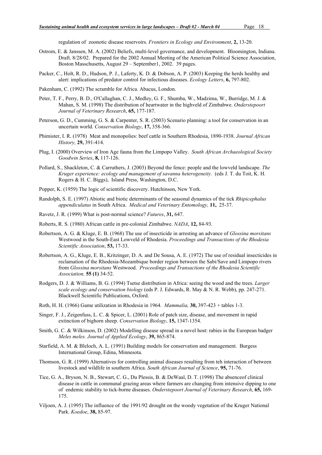regulation of zoonotic disease reservoirs. *Frontiers in Ecology and Environment*, 2, 13-20.

- Ostrom, E. & Janssen, M. A. (2002) Beliefs, multi-level governance, and development. Bloomington, Indiana. Draft. 8/28/02. Prepared for the 2002 Annual Meeting of the American Political Science Association, Boston Masschusetts, August 29 – September1, 2002. 39 pages.
- Packer, C., Holt, R. D., Hudson, P. J., Laferty, K. D. & Dobson, A. P. (2003) Keeping the herds healthy and alert: implications of predator control for infectious diseases. *Ecology Letters*, 6, 797-802.
- Pakenham, C. (1992) The scramble for Africa. Abacus, London.
- Peter, T. F., Perry, B. D., O'Callaghan, C. J., Medley, G. F., Shumba, W., Madzima, W., Burridge, M. J. & Mahan, S. M. (1998) The distribution of heartwater in the highveld of Zimbabwe. *Onderstepoort Journal of Veterinary Research*, 65, 177-187.
- Peterson, G. D., Cumming, G. S. & Carpenter, S. R. (2003) Scenario planning: a tool for conservation in an uncertain world. *Conservation Biology*, 17, 358-366.
- Phimister, I. R. (1978) Meat and monopolies: beef cattle in Southern Rhodesia, 1890-1938. *Journal African History,* 29, 391-414.
- Plug, I. (2000) Overview of Iron Age fauna from the Limpopo Valley. *South African Archaeological Society Goodwin Series*, 8, 117-126.
- Pollard, S., Shackleton, C. & Carruthers, J. (2003) Beyond the fence: people and the lowveld landscape. *The Kruger experience: ecology and management of savanna heterogeneity.* (eds J. T. du Toit, K. H. Rogers & H. C. Biggs), Island Press, Washington, D.C.
- Popper, K. (1959) The logic of scientific discovery. Hutchinson, New York.
- Randolph, S. E. (1997) Abiotic and biotic determinants of the seasonal dynamics of the tick *Rhipicephalus appendiculatus* in South Africa. *Medical and Veterinary Entomology,* 11, 25-37.
- Ravetz, J. R. (1999) What is post-normal science? *Futures*, 31, 647.
- Roberts, R. S. (1980) African cattle in pre-colonial Zimbabwe. *NADA*, 12, 84-93.
- Robertson, A. G. & Kluge, E. B. (1968) The use of insecticide in arresting an advance of *Glossina morsitans* Westwood in the South-East Lowveld of Rhodesia. *Proceedings and Transactions of the Rhodesia Scientific Association*, 53, 17-33.
- Robertson, A. G., Kluge, E. B., Kritzinger, D. A. and De Sousa, A. E. (1972) The use of residual insecticides in reclamation of the Rhodesia-Mozambique border region between the Sabi/Save and Limpopo rivers from *Glossina morsitans* Westwood. *Proceedings and Transactions of the Rhodesia Scientific Association,* 55 (1) 34-52.
- Rodgers, D. J. & Williams, B. G. (1994) Tsetse distribution in Africa: seeing the wood and the trees. *Larger scale ecology and conservation biology* (eds P. J. Edwards, R. May & N. R. Webb), pp. 247-271. Blackwell Scientific Publications, Oxford.
- Roth, H. H. (1966) Game utilization in Rhodesia in 1964. *Mammalia,* 30, 397-423 + tables 1-3.
- Singer, F. J., Zeigenfuss, L. C. & Spicer, L. (2001) Role of patch size, disease, and movement in rapid extinction of bighorn sheep. *Conservation Biology*, 15, 1347-1354.
- Smith, G. C. & Wilkinson, D. (2002) Modelling disease spread in a novel host: rabies in the European badger *Meles meles. Journal of Applied Ecology*, 39, 865-874.
- Starfield, A. M. & Bleloch, A. L. (1991) Building models for conservation and management. Burgess International Group, Edina, Minnesota.
- Thomson, G. R. (1999) Alternatives for controlling animal diseases resulting from teh interaction of between livestock and wildlife in southern Africa. *South African Journal of Science*, 95, 71-76.
- Tice, G. A., Bryson, N. B., Stewart, C. G., Du Plessis, B. & DeWaal, D. T. (1998) The absenceof clinical disease in cattle in communal grazing areas where farmers are changing from intensive dipping to one of endemic stability to tick-borne diseases. *Onderstepoort Journal of Veterinary Research*, 65, 169- 175.
- Viljoen, A. J. (1995) The influence of the 1991/92 drought on the woody vegetation of the Kruger National Park. *Koedoe*, 38, 85-97.